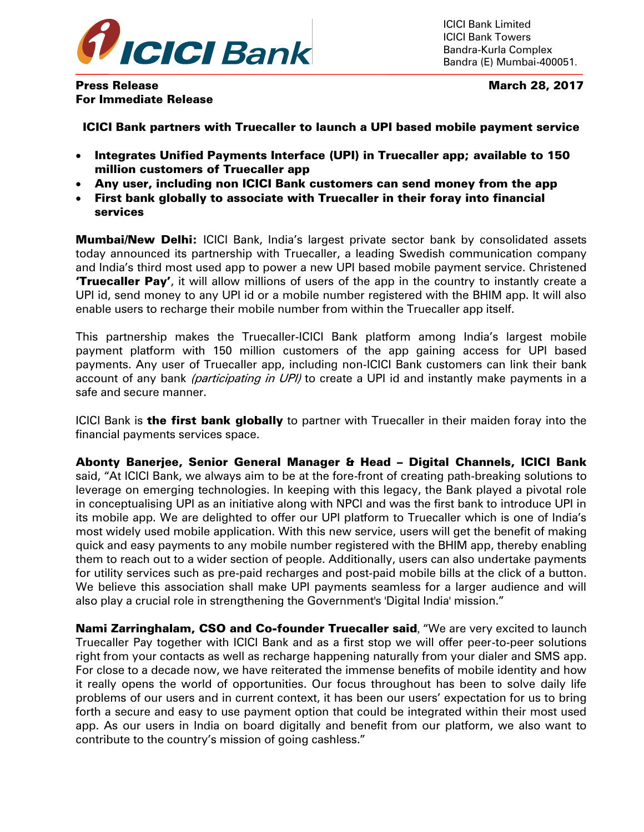

ICICI Bank Limited ICICI Bank Towers Bandra-Kurla Complex Bandra (E) Mumbai-400051.

Press Release March 28, 2017 For Immediate Release

ICICI Bank partners with Truecaller to launch a UPI based mobile payment service

- Integrates Unified Payments Interface (UPI) in Truecaller app; available to 150 million customers of Truecaller app
- Any user, including non ICICI Bank customers can send money from the app
- First bank globally to associate with Truecaller in their foray into financial services

**Mumbai/New Delhi:** ICICI Bank, India's largest private sector bank by consolidated assets today announced its partnership with Truecaller, a leading Swedish communication company and India's third most used app to power a new UPI based mobile payment service. Christened **Truecaller Pay'**, it will allow millions of users of the app in the country to instantly create a UPI id, send money to any UPI id or a mobile number registered with the BHIM app. It will also enable users to recharge their mobile number from within the Truecaller app itself.

This partnership makes the Truecaller-ICICI Bank platform among India's largest mobile payment platform with 150 million customers of the app gaining access for UPI based payments. Any user of Truecaller app, including non-ICICI Bank customers can link their bank account of any bank *(participating in UPI)* to create a UPI id and instantly make payments in a safe and secure manner.

ICICI Bank is the first bank globally to partner with Truecaller in their maiden foray into the financial payments services space.

Abonty Banerjee, Senior General Manager & Head – Digital Channels, ICICI Bank said, "At ICICI Bank, we always aim to be at the fore-front of creating path-breaking solutions to leverage on emerging technologies. In keeping with this legacy, the Bank played a pivotal role in conceptualising UPI as an initiative along with NPCI and was the first bank to introduce UPI in its mobile app. We are delighted to offer our UPI platform to Truecaller which is one of India's most widely used mobile application. With this new service, users will get the benefit of making quick and easy payments to any mobile number registered with the BHIM app, thereby enabling them to reach out to a wider section of people. Additionally, users can also undertake payments for utility services such as pre-paid recharges and post-paid mobile bills at the click of a button. We believe this association shall make UPI payments seamless for a larger audience and will also play a crucial role in strengthening the Government's 'Digital India' mission."

**Nami Zarringhalam, CSO and Co-founder Truecaller said, "We are very excited to launch** Truecaller Pay together with ICICI Bank and as a first stop we will offer peer-to-peer solutions right from your contacts as well as recharge happening naturally from your dialer and SMS app. For close to a decade now, we have reiterated the immense benefits of mobile identity and how it really opens the world of opportunities. Our focus throughout has been to solve daily life problems of our users and in current context, it has been our users' expectation for us to bring forth a secure and easy to use payment option that could be integrated within their most used app. As our users in India on board digitally and benefit from our platform, we also want to contribute to the country's mission of going cashless."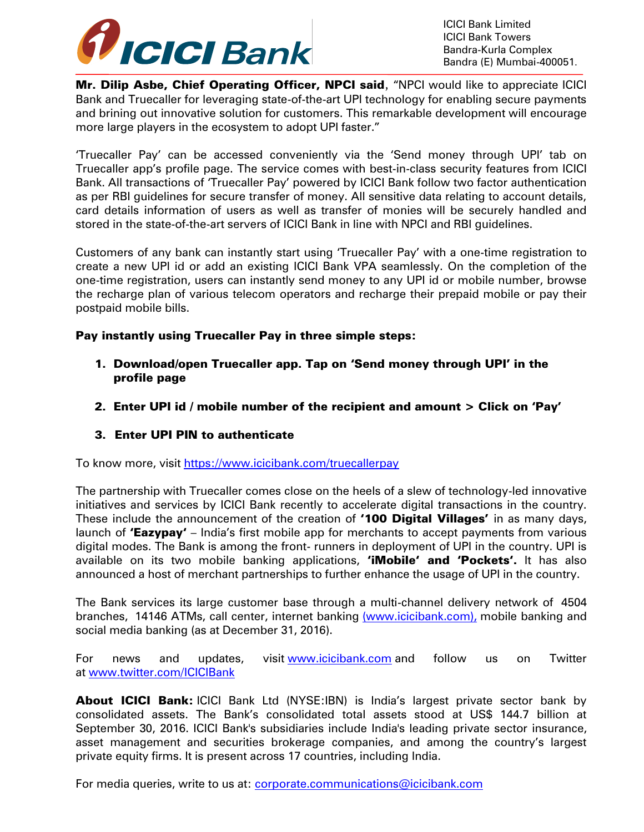

ICICI Bank Limited ICICI Bank Towers Bandra-Kurla Complex Bandra (E) Mumbai-400051.

Mr. Dilip Asbe, Chief Operating Officer, NPCI said, "NPCI would like to appreciate ICICI Bank and Truecaller for leveraging state-of-the-art UPI technology for enabling secure payments and brining out innovative solution for customers. This remarkable development will encourage more large players in the ecosystem to adopt UPI faster."

'Truecaller Pay' can be accessed conveniently via the 'Send money through UPI' tab on Truecaller app's profile page. The service comes with best-in-class security features from ICICI Bank. All transactions of 'Truecaller Pay' powered by ICICI Bank follow two factor authentication as per RBI guidelines for secure transfer of money. All sensitive data relating to account details, card details information of users as well as transfer of monies will be securely handled and stored in the state-of-the-art servers of ICICI Bank in line with NPCI and RBI guidelines.

Customers of any bank can instantly start using 'Truecaller Pay' with a one-time registration to create a new UPI id or add an existing ICICI Bank VPA seamlessly. On the completion of the one-time registration, users can instantly send money to any UPI id or mobile number, browse the recharge plan of various telecom operators and recharge their prepaid mobile or pay their postpaid mobile bills.

Pay instantly using Truecaller Pay in three simple steps:

- 1. Download/open Truecaller app. Tap on 'Send money through UPI' in the profile page
- 2. Enter UPI id / mobile number of the recipient and amount > Click on 'Pay'

## 3. Enter UPI PIN to authenticate

To know more, visit<https://www.icicibank.com/truecallerpay>

The partnership with Truecaller comes close on the heels of a slew of technology-led innovative initiatives and services by ICICI Bank recently to accelerate digital transactions in the country. These include the announcement of the creation of '100 Digital Villages' in as many days, launch of 'Eazypay' - India's first mobile app for merchants to accept payments from various digital modes. The Bank is among the front- runners in deployment of UPI in the country. UPI is available on its two mobile banking applications, "iMobile' and 'Pockets'. It has also announced a host of merchant partnerships to further enhance the usage of UPI in the country.

The Bank services its large customer base through a multi-channel delivery network of 4504 branches, 14146 ATMs, call center, internet banking [\(www.icicibank.com\),](http://(www.icicibank.com),/) mobile banking and social media banking (as at December 31, 2016).

For news and updates, visit [www.icicibank.com](http://www.icicibank.com/) and follow us on Twitter at [www.twitter.com/ICICIBank](http://www.twitter.com/ICICIBank)

About ICICI Bank: ICICI Bank Ltd (NYSE:IBN) is India's largest private sector bank by consolidated assets. The Bank's consolidated total assets stood at US\$ 144.7 billion at September 30, 2016. ICICI Bank's subsidiaries include India's leading private sector insurance, asset management and securities brokerage companies, and among the country's largest private equity firms. It is present across 17 countries, including India.

For media queries, write to us at: [corporate.communications@icicibank.com](mailto:corporate.communications@icicibank.com)